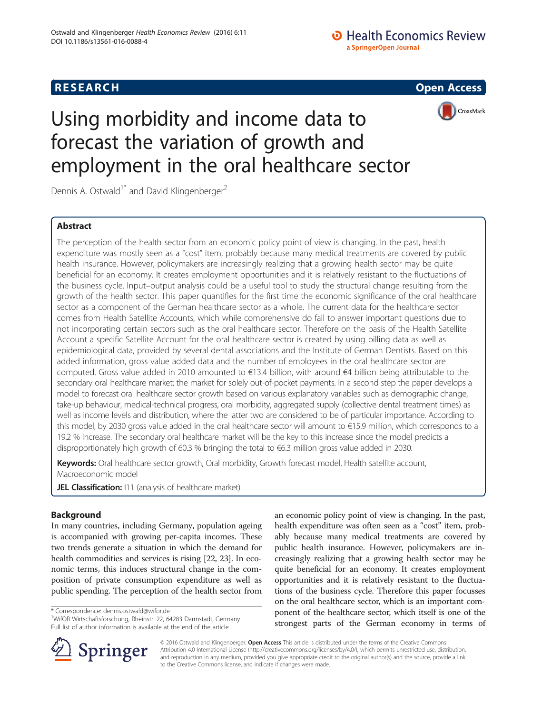## **RESEARCH CHEAR CHEAR CHEAR CHEAR CHEAR CHEAR CHEAR CHEAR CHEAR CHEAR CHEAR CHEAR CHEAR CHEAR CHEAR CHEAR CHEAR**



# Using morbidity and income data to forecast the variation of growth and employment in the oral healthcare sector

Dennis A. Ostwald<sup>1\*</sup> and David Klingenberger<sup>2</sup>

## Abstract

The perception of the health sector from an economic policy point of view is changing. In the past, health expenditure was mostly seen as a "cost" item, probably because many medical treatments are covered by public health insurance. However, policymakers are increasingly realizing that a growing health sector may be quite beneficial for an economy. It creates employment opportunities and it is relatively resistant to the fluctuations of the business cycle. Input–output analysis could be a useful tool to study the structural change resulting from the growth of the health sector. This paper quantifies for the first time the economic significance of the oral healthcare sector as a component of the German healthcare sector as a whole. The current data for the healthcare sector comes from Health Satellite Accounts, which while comprehensive do fail to answer important questions due to not incorporating certain sectors such as the oral healthcare sector. Therefore on the basis of the Health Satellite Account a specific Satellite Account for the oral healthcare sector is created by using billing data as well as epidemiological data, provided by several dental associations and the Institute of German Dentists. Based on this added information, gross value added data and the number of employees in the oral healthcare sector are computed. Gross value added in 2010 amounted to €13.4 billion, with around €4 billion being attributable to the secondary oral healthcare market; the market for solely out-of-pocket payments. In a second step the paper develops a model to forecast oral healthcare sector growth based on various explanatory variables such as demographic change, take-up behaviour, medical-technical progress, oral morbidity, aggregated supply (collective dental treatment times) as well as income levels and distribution, where the latter two are considered to be of particular importance. According to this model, by 2030 gross value added in the oral healthcare sector will amount to €15.9 million, which corresponds to a 19.2 % increase. The secondary oral healthcare market will be the key to this increase since the model predicts a disproportionately high growth of 60.3 % bringing the total to €6.3 million gross value added in 2030.

Keywords: Oral healthcare sector growth, Oral morbidity, Growth forecast model, Health satellite account, Macroeconomic model

JEL Classification: I11 (analysis of healthcare market)

## Background

In many countries, including Germany, population ageing is accompanied with growing per-capita incomes. These two trends generate a situation in which the demand for health commodities and services is rising [22, 23]. In economic terms, this induces structural change in the composition of private consumption expenditure as well as public spending. The perception of the health sector from

\* Correspondence: dennis.ostwald@wifor.de <sup>1</sup>

<sup>1</sup>WifOR Wirtschaftsforschung, Rheinstr. 22, 64283 Darmstadt, Germany Full list of author information is available at the end of the article

an economic policy point of view is changing. In the past, health expenditure was often seen as a "cost" item, probably because many medical treatments are covered by public health insurance. However, policymakers are increasingly realizing that a growing health sector may be quite beneficial for an economy. It creates employment opportunities and it is relatively resistant to the fluctuations of the business cycle. Therefore this paper focusses on the oral healthcare sector, which is an important component of the healthcare sector, which itself is one of the strongest parts of the German economy in terms of



© 2016 Ostwald and Klingenberger. Open Access This article is distributed under the terms of the Creative Commons Attribution 4.0 International License (http://creativecommons.org/licenses/by/4.0/), which permits unrestricted use, distribution, and reproduction in any medium, provided you give appropriate credit to the original author(s) and the source, provide a link to the Creative Commons license, and indicate if changes were made.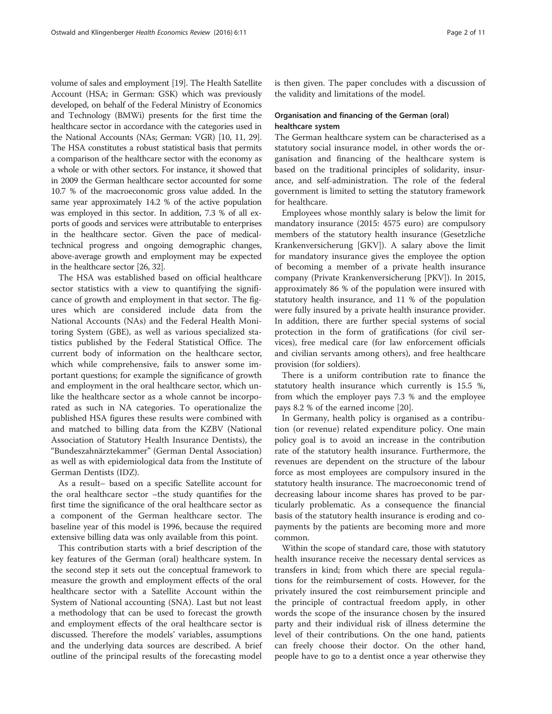volume of sales and employment [19]. The Health Satellite Account (HSA; in German: GSK) which was previously developed, on behalf of the Federal Ministry of Economics and Technology (BMWi) presents for the first time the healthcare sector in accordance with the categories used in the National Accounts (NAs; German: VGR) [10, 11, 29]. The HSA constitutes a robust statistical basis that permits a comparison of the healthcare sector with the economy as a whole or with other sectors. For instance, it showed that in 2009 the German healthcare sector accounted for some 10.7 % of the macroeconomic gross value added. In the same year approximately 14.2 % of the active population was employed in this sector. In addition, 7.3 % of all exports of goods and services were attributable to enterprises in the healthcare sector. Given the pace of medicaltechnical progress and ongoing demographic changes, above-average growth and employment may be expected in the healthcare sector [26, 32].

The HSA was established based on official healthcare sector statistics with a view to quantifying the significance of growth and employment in that sector. The figures which are considered include data from the National Accounts (NAs) and the Federal Health Monitoring System (GBE), as well as various specialized statistics published by the Federal Statistical Office. The current body of information on the healthcare sector, which while comprehensive, fails to answer some important questions; for example the significance of growth and employment in the oral healthcare sector, which unlike the healthcare sector as a whole cannot be incorporated as such in NA categories. To operationalize the published HSA figures these results were combined with and matched to billing data from the KZBV (National Association of Statutory Health Insurance Dentists), the "Bundeszahnärztekammer" (German Dental Association) as well as with epidemiological data from the Institute of German Dentists (IDZ).

As a result– based on a specific Satellite account for the oral healthcare sector –the study quantifies for the first time the significance of the oral healthcare sector as a component of the German healthcare sector. The baseline year of this model is 1996, because the required extensive billing data was only available from this point.

This contribution starts with a brief description of the key features of the German (oral) healthcare system. In the second step it sets out the conceptual framework to measure the growth and employment effects of the oral healthcare sector with a Satellite Account within the System of National accounting (SNA). Last but not least a methodology that can be used to forecast the growth and employment effects of the oral healthcare sector is discussed. Therefore the models' variables, assumptions and the underlying data sources are described. A brief outline of the principal results of the forecasting model is then given. The paper concludes with a discussion of the validity and limitations of the model.

## Organisation and financing of the German (oral) healthcare system

The German healthcare system can be characterised as a statutory social insurance model, in other words the organisation and financing of the healthcare system is based on the traditional principles of solidarity, insurance, and self-administration. The role of the federal government is limited to setting the statutory framework for healthcare.

Employees whose monthly salary is below the limit for mandatory insurance (2015: 4575 euro) are compulsory members of the statutory health insurance (Gesetzliche Krankenversicherung [GKV]). A salary above the limit for mandatory insurance gives the employee the option of becoming a member of a private health insurance company (Private Krankenversicherung [PKV]). In 2015, approximately 86 % of the population were insured with statutory health insurance, and 11 % of the population were fully insured by a private health insurance provider. In addition, there are further special systems of social protection in the form of gratifications (for civil services), free medical care (for law enforcement officials and civilian servants among others), and free healthcare provision (for soldiers).

There is a uniform contribution rate to finance the statutory health insurance which currently is 15.5 %, from which the employer pays 7.3 % and the employee pays 8.2 % of the earned income [20].

In Germany, health policy is organised as a contribution (or revenue) related expenditure policy. One main policy goal is to avoid an increase in the contribution rate of the statutory health insurance. Furthermore, the revenues are dependent on the structure of the labour force as most employees are compulsory insured in the statutory health insurance. The macroeconomic trend of decreasing labour income shares has proved to be particularly problematic. As a consequence the financial basis of the statutory health insurance is eroding and copayments by the patients are becoming more and more common.

Within the scope of standard care, those with statutory health insurance receive the necessary dental services as transfers in kind; from which there are special regulations for the reimbursement of costs. However, for the privately insured the cost reimbursement principle and the principle of contractual freedom apply, in other words the scope of the insurance chosen by the insured party and their individual risk of illness determine the level of their contributions. On the one hand, patients can freely choose their doctor. On the other hand, people have to go to a dentist once a year otherwise they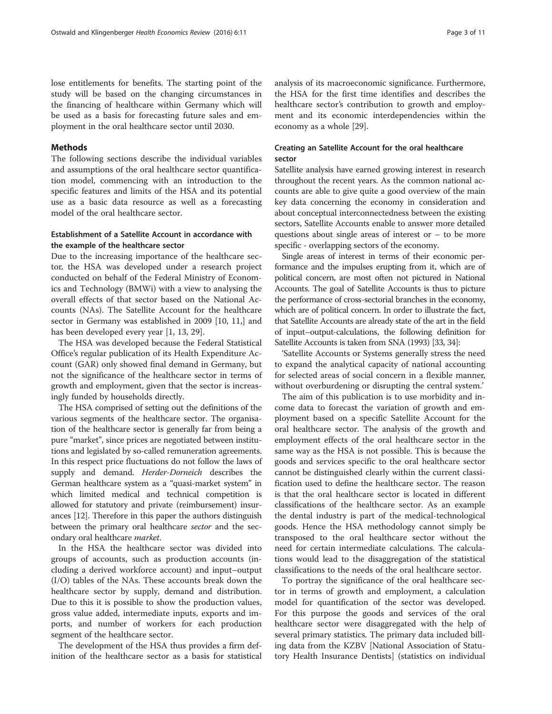lose entitlements for benefits. The starting point of the study will be based on the changing circumstances in the financing of healthcare within Germany which will be used as a basis for forecasting future sales and employment in the oral healthcare sector until 2030.

## Methods

The following sections describe the individual variables and assumptions of the oral healthcare sector quantification model, commencing with an introduction to the specific features and limits of the HSA and its potential use as a basic data resource as well as a forecasting model of the oral healthcare sector.

## Establishment of a Satellite Account in accordance with the example of the healthcare sector

Due to the increasing importance of the healthcare sector, the HSA was developed under a research project conducted on behalf of the Federal Ministry of Economics and Technology (BMWi) with a view to analysing the overall effects of that sector based on the National Accounts (NAs). The Satellite Account for the healthcare sector in Germany was established in 2009 [10, 11,] and has been developed every year [1, 13, 29].

The HSA was developed because the Federal Statistical Office's regular publication of its Health Expenditure Account (GAR) only showed final demand in Germany, but not the significance of the healthcare sector in terms of growth and employment, given that the sector is increasingly funded by households directly.

The HSA comprised of setting out the definitions of the various segments of the healthcare sector. The organisation of the healthcare sector is generally far from being a pure "market", since prices are negotiated between institutions and legislated by so-called remuneration agreements. In this respect price fluctuations do not follow the laws of supply and demand. Herder-Dorneich describes the German healthcare system as a "quasi-market system" in which limited medical and technical competition is allowed for statutory and private (reimbursement) insurances [12]. Therefore in this paper the authors distinguish between the primary oral healthcare sector and the secondary oral healthcare market.

In the HSA the healthcare sector was divided into groups of accounts, such as production accounts (including a derived workforce account) and input–output (I/O) tables of the NAs. These accounts break down the healthcare sector by supply, demand and distribution. Due to this it is possible to show the production values, gross value added, intermediate inputs, exports and imports, and number of workers for each production segment of the healthcare sector.

The development of the HSA thus provides a firm definition of the healthcare sector as a basis for statistical analysis of its macroeconomic significance. Furthermore, the HSA for the first time identifies and describes the healthcare sector's contribution to growth and employment and its economic interdependencies within the economy as a whole [29].

## Creating an Satellite Account for the oral healthcare sector

Satellite analysis have earned growing interest in research throughout the recent years. As the common national accounts are able to give quite a good overview of the main key data concerning the economy in consideration and about conceptual interconnectedness between the existing sectors, Satellite Accounts enable to answer more detailed questions about single areas of interest or – to be more specific - overlapping sectors of the economy.

Single areas of interest in terms of their economic performance and the impulses erupting from it, which are of political concern, are most often not pictured in National Accounts. The goal of Satellite Accounts is thus to picture the performance of cross-sectorial branches in the economy, which are of political concern. In order to illustrate the fact, that Satellite Accounts are already state of the art in the field of input–output-calculations, the following definition for Satellite Accounts is taken from SNA (1993) [33, 34]:

'Satellite Accounts or Systems generally stress the need to expand the analytical capacity of national accounting for selected areas of social concern in a flexible manner, without overburdening or disrupting the central system.'

The aim of this publication is to use morbidity and income data to forecast the variation of growth and employment based on a specific Satellite Account for the oral healthcare sector. The analysis of the growth and employment effects of the oral healthcare sector in the same way as the HSA is not possible. This is because the goods and services specific to the oral healthcare sector cannot be distinguished clearly within the current classification used to define the healthcare sector. The reason is that the oral healthcare sector is located in different classifications of the healthcare sector. As an example the dental industry is part of the medical-technological goods. Hence the HSA methodology cannot simply be transposed to the oral healthcare sector without the need for certain intermediate calculations. The calculations would lead to the disaggregation of the statistical classifications to the needs of the oral healthcare sector.

To portray the significance of the oral healthcare sector in terms of growth and employment, a calculation model for quantification of the sector was developed. For this purpose the goods and services of the oral healthcare sector were disaggregated with the help of several primary statistics. The primary data included billing data from the KZBV [National Association of Statutory Health Insurance Dentists] (statistics on individual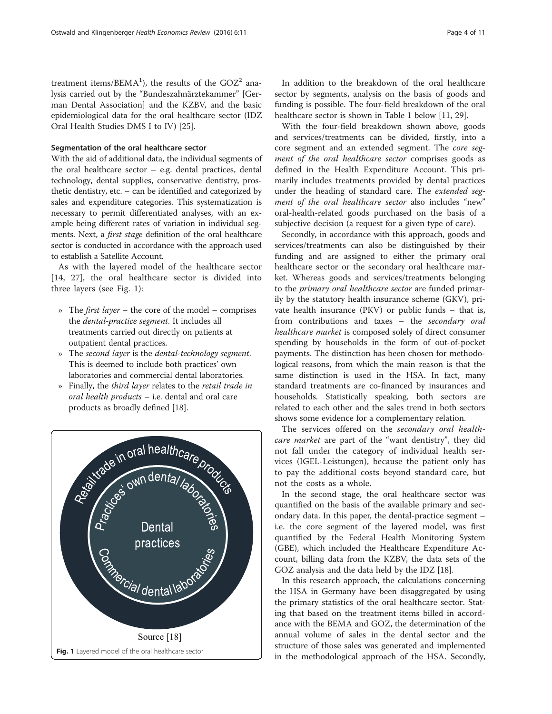treatment items/BEMA<sup>1</sup>), the results of the GOZ<sup>2</sup> analysis carried out by the "Bundeszahnärztekammer" [German Dental Association] and the KZBV, and the basic epidemiological data for the oral healthcare sector (IDZ Oral Health Studies DMS I to IV) [25].

## Segmentation of the oral healthcare sector

With the aid of additional data, the individual segments of the oral healthcare sector – e.g. dental practices, dental technology, dental supplies, conservative dentistry, prosthetic dentistry, etc. – can be identified and categorized by sales and expenditure categories. This systematization is necessary to permit differentiated analyses, with an example being different rates of variation in individual segments. Next, a first stage definition of the oral healthcare sector is conducted in accordance with the approach used to establish a Satellite Account.

As with the layered model of the healthcare sector [14, 27], the oral healthcare sector is divided into three layers (see Fig. 1):

- » The *first layer* the core of the model comprises the dental-practice segment. It includes all treatments carried out directly on patients at outpatient dental practices.
- » The second layer is the dental-technology segment. This is deemed to include both practices' own laboratories and commercial dental laboratories.
- » Finally, the third layer relates to the retail trade in oral health products – i.e. dental and oral care products as broadly defined [18].



In addition to the breakdown of the oral healthcare sector by segments, analysis on the basis of goods and funding is possible. The four-field breakdown of the oral healthcare sector is shown in Table 1 below [11, 29].

With the four-field breakdown shown above, goods and services/treatments can be divided, firstly, into a core segment and an extended segment. The core segment of the oral healthcare sector comprises goods as defined in the Health Expenditure Account. This primarily includes treatments provided by dental practices under the heading of standard care. The extended segment of the oral healthcare sector also includes "new" oral-health-related goods purchased on the basis of a subjective decision (a request for a given type of care).

Secondly, in accordance with this approach, goods and services/treatments can also be distinguished by their funding and are assigned to either the primary oral healthcare sector or the secondary oral healthcare market. Whereas goods and services/treatments belonging to the primary oral healthcare sector are funded primarily by the statutory health insurance scheme (GKV), private health insurance (PKV) or public funds – that is, from contributions and taxes – the secondary oral healthcare market is composed solely of direct consumer spending by households in the form of out-of-pocket payments. The distinction has been chosen for methodological reasons, from which the main reason is that the same distinction is used in the HSA. In fact, many standard treatments are co-financed by insurances and households. Statistically speaking, both sectors are related to each other and the sales trend in both sectors shows some evidence for a complementary relation.

The services offered on the secondary oral healthcare market are part of the "want dentistry", they did not fall under the category of individual health services (IGEL-Leistungen), because the patient only has to pay the additional costs beyond standard care, but not the costs as a whole.

In the second stage, the oral healthcare sector was quantified on the basis of the available primary and secondary data. In this paper, the dental-practice segment – i.e. the core segment of the layered model, was first quantified by the Federal Health Monitoring System (GBE), which included the Healthcare Expenditure Account, billing data from the KZBV, the data sets of the GOZ analysis and the data held by the IDZ [18].

In this research approach, the calculations concerning the HSA in Germany have been disaggregated by using the primary statistics of the oral healthcare sector. Stating that based on the treatment items billed in accordance with the BEMA and GOZ, the determination of the annual volume of sales in the dental sector and the structure of those sales was generated and implemented in the methodological approach of the HSA. Secondly,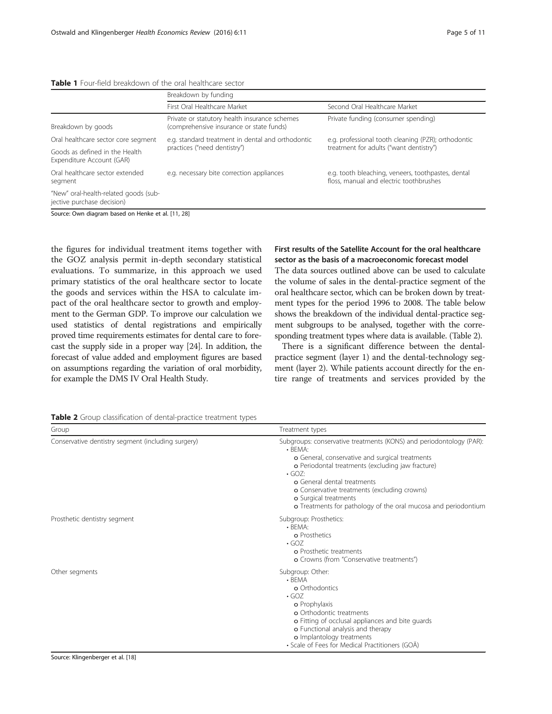|  |  |  |  |  |  | <b>Table 1</b> Four-field breakdown of the oral healthcare sector |
|--|--|--|--|--|--|-------------------------------------------------------------------|
|--|--|--|--|--|--|-------------------------------------------------------------------|

| Breakdown by funding                                                                      |                                                                                                |  |  |
|-------------------------------------------------------------------------------------------|------------------------------------------------------------------------------------------------|--|--|
| First Oral Healthcare Market                                                              | Second Oral Healthcare Market                                                                  |  |  |
| Private or statutory health insurance schemes<br>(comprehensive insurance or state funds) | Private funding (consumer spending)                                                            |  |  |
| e.g. standard treatment in dental and orthodontic                                         | e.g. professional tooth cleaning (PZR); orthodontic<br>treatment for adults ("want dentistry") |  |  |
|                                                                                           |                                                                                                |  |  |
| e.g. necessary bite correction appliances                                                 | e.g. tooth bleaching, veneers, toothpastes, dental<br>floss, manual and electric toothbrushes  |  |  |
|                                                                                           |                                                                                                |  |  |
|                                                                                           | practices ("need dentistry")                                                                   |  |  |

Source: Own diagram based on Henke et al. [11, 28]

the figures for individual treatment items together with the GOZ analysis permit in-depth secondary statistical evaluations. To summarize, in this approach we used primary statistics of the oral healthcare sector to locate the goods and services within the HSA to calculate impact of the oral healthcare sector to growth and employment to the German GDP. To improve our calculation we used statistics of dental registrations and empirically proved time requirements estimates for dental care to forecast the supply side in a proper way [24]. In addition, the forecast of value added and employment figures are based on assumptions regarding the variation of oral morbidity, for example the DMS IV Oral Health Study.

## First results of the Satellite Account for the oral healthcare sector as the basis of a macroeconomic forecast model

The data sources outlined above can be used to calculate the volume of sales in the dental-practice segment of the oral healthcare sector, which can be broken down by treatment types for the period 1996 to 2008. The table below shows the breakdown of the individual dental-practice segment subgroups to be analysed, together with the corresponding treatment types where data is available. (Table 2).

There is a significant difference between the dentalpractice segment (layer 1) and the dental-technology segment (layer 2). While patients account directly for the entire range of treatments and services provided by the

| Group                                              | Treatment types                                                                                                                                                                                                                                                                                                                                                                               |  |  |  |  |
|----------------------------------------------------|-----------------------------------------------------------------------------------------------------------------------------------------------------------------------------------------------------------------------------------------------------------------------------------------------------------------------------------------------------------------------------------------------|--|--|--|--|
| Conservative dentistry segment (including surgery) | Subgroups: conservative treatments (KONS) and periodontology (PAR):<br>$\cdot$ BFMA:<br>o General, conservative and surgical treatments<br>o Periodontal treatments (excluding jaw fracture)<br>$\cdot$ GOZ:<br>o General dental treatments<br>o Conservative treatments (excluding crowns)<br><b>o</b> Surgical treatments<br>o Treatments for pathology of the oral mucosa and periodontium |  |  |  |  |
| Prosthetic dentistry segment                       | Subgroup: Prosthetics:<br>$\cdot$ BEMA:<br><b>o</b> Prosthetics<br>$\cdot$ GOZ<br>o Prosthetic treatments<br>o Crowns (from "Conservative treatments")                                                                                                                                                                                                                                        |  |  |  |  |
| Other segments                                     | Subgroup: Other:<br>$\cdot$ BFMA<br><b>o</b> Orthodontics<br>$\cdot$ GOZ<br>o Prophylaxis<br>o Orthodontic treatments<br>o Fitting of occlusal appliances and bite guards<br>o Functional analysis and therapy<br>o Implantology treatments<br>• Scale of Fees for Medical Practitioners (GOÄ)                                                                                                |  |  |  |  |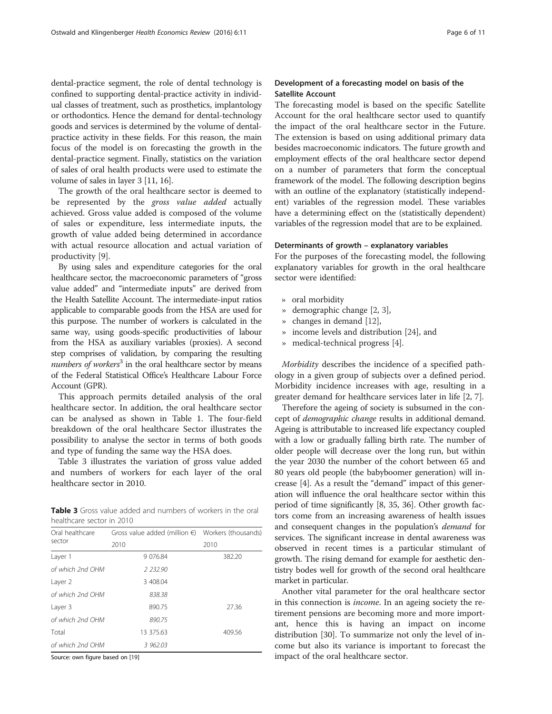dental-practice segment, the role of dental technology is confined to supporting dental-practice activity in individual classes of treatment, such as prosthetics, implantology or orthodontics. Hence the demand for dental-technology goods and services is determined by the volume of dentalpractice activity in these fields. For this reason, the main focus of the model is on forecasting the growth in the dental-practice segment. Finally, statistics on the variation of sales of oral health products were used to estimate the volume of sales in layer 3 [11, 16].

The growth of the oral healthcare sector is deemed to be represented by the gross value added actually achieved. Gross value added is composed of the volume of sales or expenditure, less intermediate inputs, the growth of value added being determined in accordance with actual resource allocation and actual variation of productivity [9].

By using sales and expenditure categories for the oral healthcare sector, the macroeconomic parameters of "gross value added" and "intermediate inputs" are derived from the Health Satellite Account. The intermediate-input ratios applicable to comparable goods from the HSA are used for this purpose. The number of workers is calculated in the same way, using goods-specific productivities of labour from the HSA as auxiliary variables (proxies). A second step comprises of validation, by comparing the resulting numbers of workers<sup>3</sup> in the oral healthcare sector by means of the Federal Statistical Office's Healthcare Labour Force Account (GPR).

This approach permits detailed analysis of the oral healthcare sector. In addition, the oral healthcare sector can be analysed as shown in Table 1. The four-field breakdown of the oral healthcare Sector illustrates the possibility to analyse the sector in terms of both goods and type of funding the same way the HSA does.

Table 3 illustrates the variation of gross value added and numbers of workers for each layer of the oral healthcare sector in 2010.

Table 3 Gross value added and numbers of workers in the oral healthcare sector in 2010

| Oral healthcare  | Gross value added (million $\epsilon$ ) Workers (thousands) |        |  |  |
|------------------|-------------------------------------------------------------|--------|--|--|
| sector           | 2010                                                        | 2010   |  |  |
| Layer 1          | 9 0 7 6.84                                                  | 382.20 |  |  |
| of which 2nd OHM | 2 232.90                                                    |        |  |  |
| Layer 2          | 3 408.04                                                    |        |  |  |
| of which 2nd OHM | 838.38                                                      |        |  |  |
| Layer 3          | 890.75                                                      | 27.36  |  |  |
| of which 2nd OHM | 890.75                                                      |        |  |  |
| Total            | 13 375.63                                                   | 409.56 |  |  |
| of which 2nd OHM | 3 962.03                                                    |        |  |  |

Source: own figure based on [19]

## Development of a forecasting model on basis of the Satellite Account

The forecasting model is based on the specific Satellite Account for the oral healthcare sector used to quantify the impact of the oral healthcare sector in the Future. The extension is based on using additional primary data besides macroeconomic indicators. The future growth and employment effects of the oral healthcare sector depend on a number of parameters that form the conceptual framework of the model. The following description begins with an outline of the explanatory (statistically independent) variables of the regression model. These variables have a determining effect on the (statistically dependent) variables of the regression model that are to be explained.

#### Determinants of growth – explanatory variables

For the purposes of the forecasting model, the following explanatory variables for growth in the oral healthcare sector were identified:

- » oral morbidity
- » demographic change [2, 3],
- » changes in demand [12],
- » income levels and distribution [24], and
- » medical-technical progress [4].

Morbidity describes the incidence of a specified pathology in a given group of subjects over a defined period. Morbidity incidence increases with age, resulting in a greater demand for healthcare services later in life [2, 7].

Therefore the ageing of society is subsumed in the concept of demographic change results in additional demand. Ageing is attributable to increased life expectancy coupled with a low or gradually falling birth rate. The number of older people will decrease over the long run, but within the year 2030 the number of the cohort between 65 and 80 years old people (the babyboomer generation) will increase [4]. As a result the "demand" impact of this generation will influence the oral healthcare sector within this period of time significantly [8, 35, 36]. Other growth factors come from an increasing awareness of health issues and consequent changes in the population's demand for services. The significant increase in dental awareness was observed in recent times is a particular stimulant of growth. The rising demand for example for aesthetic dentistry bodes well for growth of the second oral healthcare market in particular.

Another vital parameter for the oral healthcare sector in this connection is *income*. In an ageing society the retirement pensions are becoming more and more important, hence this is having an impact on income distribution [30]. To summarize not only the level of income but also its variance is important to forecast the impact of the oral healthcare sector.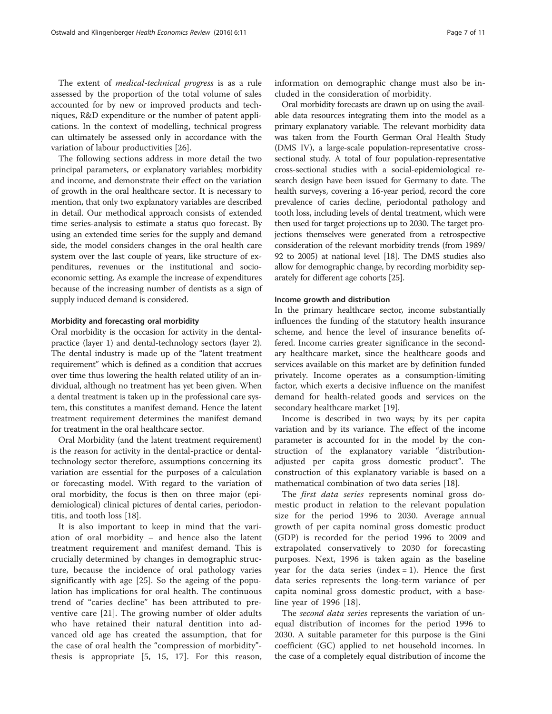The extent of *medical-technical progress* is as a rule assessed by the proportion of the total volume of sales accounted for by new or improved products and techniques, R&D expenditure or the number of patent applications. In the context of modelling, technical progress can ultimately be assessed only in accordance with the variation of labour productivities [26].

The following sections address in more detail the two principal parameters, or explanatory variables; morbidity and income, and demonstrate their effect on the variation of growth in the oral healthcare sector. It is necessary to mention, that only two explanatory variables are described in detail. Our methodical approach consists of extended time series-analysis to estimate a status quo forecast. By using an extended time series for the supply and demand side, the model considers changes in the oral health care system over the last couple of years, like structure of expenditures, revenues or the institutional and socioeconomic setting. As example the increase of expenditures because of the increasing number of dentists as a sign of supply induced demand is considered.

### Morbidity and forecasting oral morbidity

Oral morbidity is the occasion for activity in the dentalpractice (layer 1) and dental-technology sectors (layer 2). The dental industry is made up of the "latent treatment requirement" which is defined as a condition that accrues over time thus lowering the health related utility of an individual, although no treatment has yet been given. When a dental treatment is taken up in the professional care system, this constitutes a manifest demand. Hence the latent treatment requirement determines the manifest demand for treatment in the oral healthcare sector.

Oral Morbidity (and the latent treatment requirement) is the reason for activity in the dental-practice or dentaltechnology sector therefore, assumptions concerning its variation are essential for the purposes of a calculation or forecasting model. With regard to the variation of oral morbidity, the focus is then on three major (epidemiological) clinical pictures of dental caries, periodontitis, and tooth loss [18].

It is also important to keep in mind that the variation of oral morbidity – and hence also the latent treatment requirement and manifest demand. This is crucially determined by changes in demographic structure, because the incidence of oral pathology varies significantly with age [25]. So the ageing of the population has implications for oral health. The continuous trend of "caries decline" has been attributed to preventive care [21]. The growing number of older adults who have retained their natural dentition into advanced old age has created the assumption, that for the case of oral health the "compression of morbidity" thesis is appropriate [5, 15, 17]. For this reason, information on demographic change must also be included in the consideration of morbidity.

Oral morbidity forecasts are drawn up on using the available data resources integrating them into the model as a primary explanatory variable. The relevant morbidity data was taken from the Fourth German Oral Health Study (DMS IV), a large-scale population-representative crosssectional study. A total of four population-representative cross-sectional studies with a social-epidemiological research design have been issued for Germany to date. The health surveys, covering a 16-year period, record the core prevalence of caries decline, periodontal pathology and tooth loss, including levels of dental treatment, which were then used for target projections up to 2030. The target projections themselves were generated from a retrospective consideration of the relevant morbidity trends (from 1989/ 92 to 2005) at national level [18]. The DMS studies also allow for demographic change, by recording morbidity separately for different age cohorts [25].

#### Income growth and distribution

In the primary healthcare sector, income substantially influences the funding of the statutory health insurance scheme, and hence the level of insurance benefits offered. Income carries greater significance in the secondary healthcare market, since the healthcare goods and services available on this market are by definition funded privately. Income operates as a consumption-limiting factor, which exerts a decisive influence on the manifest demand for health-related goods and services on the secondary healthcare market [19].

Income is described in two ways; by its per capita variation and by its variance. The effect of the income parameter is accounted for in the model by the construction of the explanatory variable "distributionadjusted per capita gross domestic product". The construction of this explanatory variable is based on a mathematical combination of two data series [18].

The *first data series* represents nominal gross domestic product in relation to the relevant population size for the period 1996 to 2030. Average annual growth of per capita nominal gross domestic product (GDP) is recorded for the period 1996 to 2009 and extrapolated conservatively to 2030 for forecasting purposes. Next, 1996 is taken again as the baseline year for the data series (index  $= 1$ ). Hence the first data series represents the long-term variance of per capita nominal gross domestic product, with a baseline year of 1996 [18].

The second data series represents the variation of unequal distribution of incomes for the period 1996 to 2030. A suitable parameter for this purpose is the Gini coefficient (GC) applied to net household incomes. In the case of a completely equal distribution of income the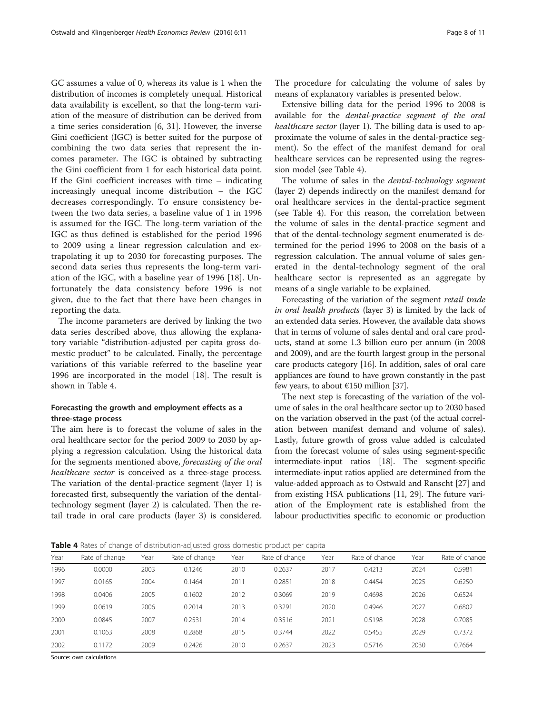GC assumes a value of 0, whereas its value is 1 when the distribution of incomes is completely unequal. Historical data availability is excellent, so that the long-term variation of the measure of distribution can be derived from a time series consideration [6, 31]. However, the inverse Gini coefficient (IGC) is better suited for the purpose of combining the two data series that represent the incomes parameter. The IGC is obtained by subtracting the Gini coefficient from 1 for each historical data point. If the Gini coefficient increases with time – indicating increasingly unequal income distribution – the IGC decreases correspondingly. To ensure consistency between the two data series, a baseline value of 1 in 1996 is assumed for the IGC. The long-term variation of the IGC as thus defined is established for the period 1996 to 2009 using a linear regression calculation and extrapolating it up to 2030 for forecasting purposes. The second data series thus represents the long-term variation of the IGC, with a baseline year of 1996 [18]. Unfortunately the data consistency before 1996 is not given, due to the fact that there have been changes in reporting the data.

The income parameters are derived by linking the two data series described above, thus allowing the explanatory variable "distribution-adjusted per capita gross domestic product" to be calculated. Finally, the percentage variations of this variable referred to the baseline year 1996 are incorporated in the model [18]. The result is shown in Table 4.

## Forecasting the growth and employment effects as a three-stage process

The aim here is to forecast the volume of sales in the oral healthcare sector for the period 2009 to 2030 by applying a regression calculation. Using the historical data for the segments mentioned above, forecasting of the oral healthcare sector is conceived as a three-stage process. The variation of the dental-practice segment (layer 1) is forecasted first, subsequently the variation of the dentaltechnology segment (layer 2) is calculated. Then the retail trade in oral care products (layer 3) is considered.

The procedure for calculating the volume of sales by means of explanatory variables is presented below.

Extensive billing data for the period 1996 to 2008 is available for the dental-practice segment of the oral healthcare sector (layer 1). The billing data is used to approximate the volume of sales in the dental-practice segment). So the effect of the manifest demand for oral healthcare services can be represented using the regression model (see Table 4).

The volume of sales in the *dental-technology segment* (layer 2) depends indirectly on the manifest demand for oral healthcare services in the dental-practice segment (see Table 4). For this reason, the correlation between the volume of sales in the dental-practice segment and that of the dental-technology segment enumerated is determined for the period 1996 to 2008 on the basis of a regression calculation. The annual volume of sales generated in the dental-technology segment of the oral healthcare sector is represented as an aggregate by means of a single variable to be explained.

Forecasting of the variation of the segment *retail trade* in oral health products (layer 3) is limited by the lack of an extended data series. However, the available data shows that in terms of volume of sales dental and oral care products, stand at some 1.3 billion euro per annum (in 2008 and 2009), and are the fourth largest group in the personal care products category [16]. In addition, sales of oral care appliances are found to have grown constantly in the past few years, to about  $£150$  million [37].

The next step is forecasting of the variation of the volume of sales in the oral healthcare sector up to 2030 based on the variation observed in the past (of the actual correlation between manifest demand and volume of sales). Lastly, future growth of gross value added is calculated from the forecast volume of sales using segment-specific intermediate-input ratios [18]. The segment-specific intermediate-input ratios applied are determined from the value-added approach as to Ostwald and Ranscht [27] and from existing HSA publications [11, 29]. The future variation of the Employment rate is established from the labour productivities specific to economic or production

Table 4 Rates of change of distribution-adjusted gross domestic product per capita

| Year | Rate of change | Year | Rate of change | Year | Rate of change | Year | Rate of change | Year | Rate of change |
|------|----------------|------|----------------|------|----------------|------|----------------|------|----------------|
| 1996 | 0.0000         | 2003 | 0.1246         | 2010 | 0.2637         | 2017 | 0.4213         | 2024 | 0.5981         |
| 1997 | 0.0165         | 2004 | 0.1464         | 2011 | 0.2851         | 2018 | 0.4454         | 2025 | 0.6250         |
| 1998 | 0.0406         | 2005 | 0.1602         | 2012 | 0.3069         | 2019 | 0.4698         | 2026 | 0.6524         |
| 1999 | 0.0619         | 2006 | 0.2014         | 2013 | 0.3291         | 2020 | 0.4946         | 2027 | 0.6802         |
| 2000 | 0.0845         | 2007 | 0.2531         | 2014 | 0.3516         | 2021 | 0.5198         | 2028 | 0.7085         |
| 2001 | 0.1063         | 2008 | 0.2868         | 2015 | 0.3744         | 2022 | 0.5455         | 2029 | 0.7372         |
| 2002 | 0.1172         | 2009 | 0.2426         | 2010 | 0.2637         | 2023 | 0.5716         | 2030 | 0.7664         |
|      |                |      |                |      |                |      |                |      |                |

Source: own calculations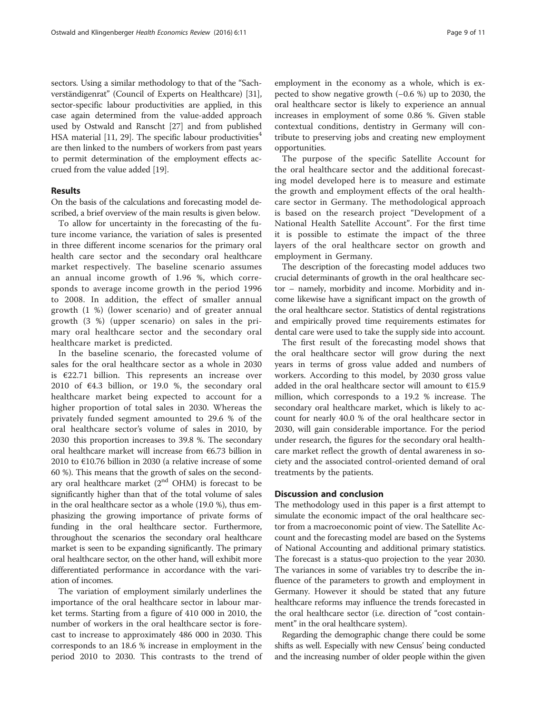sectors. Using a similar methodology to that of the "Sachverständigenrat" (Council of Experts on Healthcare) [31], sector-specific labour productivities are applied, in this case again determined from the value-added approach used by Ostwald and Ranscht [27] and from published HSA material  $[11, 29]$ . The specific labour productivities<sup>4</sup> are then linked to the numbers of workers from past years to permit determination of the employment effects accrued from the value added [19].

#### Results

On the basis of the calculations and forecasting model described, a brief overview of the main results is given below.

To allow for uncertainty in the forecasting of the future income variance, the variation of sales is presented in three different income scenarios for the primary oral health care sector and the secondary oral healthcare market respectively. The baseline scenario assumes an annual income growth of 1.96 %, which corresponds to average income growth in the period 1996 to 2008. In addition, the effect of smaller annual growth (1 %) (lower scenario) and of greater annual growth (3 %) (upper scenario) on sales in the primary oral healthcare sector and the secondary oral healthcare market is predicted.

In the baseline scenario, the forecasted volume of sales for the oral healthcare sector as a whole in 2030 is €22.71 billion. This represents an increase over 2010 of €4.3 billion, or 19.0 %, the secondary oral healthcare market being expected to account for a higher proportion of total sales in 2030. Whereas the privately funded segment amounted to 29.6 % of the oral healthcare sector's volume of sales in 2010, by 2030 this proportion increases to 39.8 %. The secondary oral healthcare market will increase from €6.73 billion in 2010 to €10.76 billion in 2030 (a relative increase of some 60 %). This means that the growth of sales on the secondary oral healthcare market  $(2<sup>nd</sup> OHM)$  is forecast to be significantly higher than that of the total volume of sales in the oral healthcare sector as a whole (19.0 %), thus emphasizing the growing importance of private forms of funding in the oral healthcare sector. Furthermore, throughout the scenarios the secondary oral healthcare market is seen to be expanding significantly. The primary oral healthcare sector, on the other hand, will exhibit more differentiated performance in accordance with the variation of incomes.

The variation of employment similarly underlines the importance of the oral healthcare sector in labour market terms. Starting from a figure of 410 000 in 2010, the number of workers in the oral healthcare sector is forecast to increase to approximately 486 000 in 2030. This corresponds to an 18.6 % increase in employment in the period 2010 to 2030. This contrasts to the trend of employment in the economy as a whole, which is expected to show negative growth (−0.6 %) up to 2030, the oral healthcare sector is likely to experience an annual increases in employment of some 0.86 %. Given stable contextual conditions, dentistry in Germany will contribute to preserving jobs and creating new employment opportunities.

The purpose of the specific Satellite Account for the oral healthcare sector and the additional forecasting model developed here is to measure and estimate the growth and employment effects of the oral healthcare sector in Germany. The methodological approach is based on the research project "Development of a National Health Satellite Account". For the first time it is possible to estimate the impact of the three layers of the oral healthcare sector on growth and employment in Germany.

The description of the forecasting model adduces two crucial determinants of growth in the oral healthcare sector – namely, morbidity and income. Morbidity and income likewise have a significant impact on the growth of the oral healthcare sector. Statistics of dental registrations and empirically proved time requirements estimates for dental care were used to take the supply side into account.

The first result of the forecasting model shows that the oral healthcare sector will grow during the next years in terms of gross value added and numbers of workers. According to this model, by 2030 gross value added in the oral healthcare sector will amount to €15.9 million, which corresponds to a 19.2 % increase. The secondary oral healthcare market, which is likely to account for nearly 40.0 % of the oral healthcare sector in 2030, will gain considerable importance. For the period under research, the figures for the secondary oral healthcare market reflect the growth of dental awareness in society and the associated control-oriented demand of oral treatments by the patients.

#### Discussion and conclusion

The methodology used in this paper is a first attempt to simulate the economic impact of the oral healthcare sector from a macroeconomic point of view. The Satellite Account and the forecasting model are based on the Systems of National Accounting and additional primary statistics. The forecast is a status-quo projection to the year 2030. The variances in some of variables try to describe the influence of the parameters to growth and employment in Germany. However it should be stated that any future healthcare reforms may influence the trends forecasted in the oral healthcare sector (i.e. direction of "cost containment" in the oral healthcare system).

Regarding the demographic change there could be some shifts as well. Especially with new Census' being conducted and the increasing number of older people within the given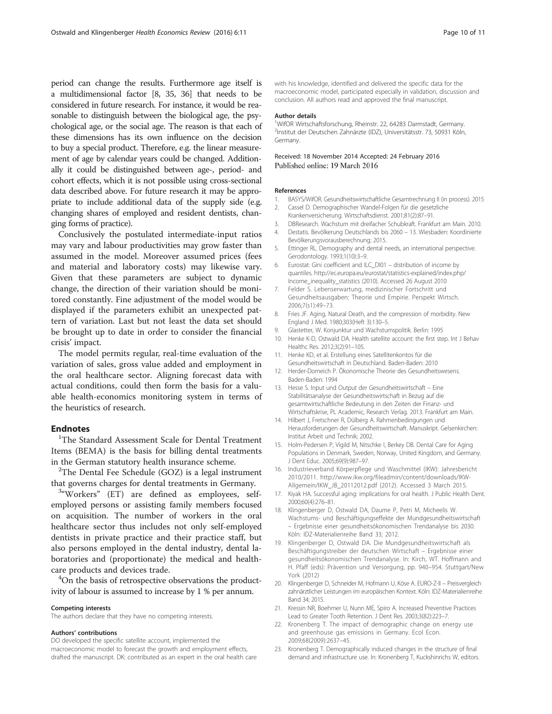period can change the results. Furthermore age itself is a multidimensional factor [8, 35, 36] that needs to be considered in future research. For instance, it would be reasonable to distinguish between the biological age, the psychological age, or the social age. The reason is that each of these dimensions has its own influence on the decision to buy a special product. Therefore, e.g. the linear measurement of age by calendar years could be changed. Additionally it could be distinguished between age-, period- and cohort effects, which it is not possible using cross-sectional data described above. For future research it may be appropriate to include additional data of the supply side (e.g. changing shares of employed and resident dentists, changing forms of practice).

Conclusively the postulated intermediate-input ratios may vary and labour productivities may grow faster than assumed in the model. Moreover assumed prices (fees and material and laboratory costs) may likewise vary. Given that these parameters are subject to dynamic change, the direction of their variation should be monitored constantly. Fine adjustment of the model would be displayed if the parameters exhibit an unexpected pattern of variation. Last but not least the data set should be brought up to date in order to consider the financial crisis' impact.

The model permits regular, real-time evaluation of the variation of sales, gross value added and employment in the oral healthcare sector. Aligning forecast data with actual conditions, could then form the basis for a valuable health-economics monitoring system in terms of the heuristics of research.

## **Endnotes**

<sup>1</sup>The Standard Assessment Scale for Dental Treatment Items (BEMA) is the basis for billing dental treatments in the German statutory health insurance scheme.

 $2$ The Dental Fee Schedule (GOZ) is a legal instrument that governs charges for dental treatments in Germany.

<sup>3</sup>"Workers" (ET) are defined as employees, selfemployed persons or assisting family members focused on acquisition. The number of workers in the oral healthcare sector thus includes not only self-employed dentists in private practice and their practice staff, but also persons employed in the dental industry, dental laboratories and (proportionate) the medical and healthcare products and devices trade. <sup>4</sup>

<sup>4</sup>On the basis of retrospective observations the productivity of labour is assumed to increase by 1 % per annum.

#### Competing interests

The authors declare that they have no competing interests.

#### Authors' contributions

DO developed the specific satellite account, implemented the macroeconomic model to forecast the growth and employment effects, drafted the manuscript. DK: contributed as an expert in the oral health care with his knowledge, identified and delivered the specific data for the macroeconomic model, participated especially in validation, discussion and conclusion. All authors read and approved the final manuscript.

#### Author details

<sup>1</sup>WifOR Wirtschaftsforschung, Rheinstr. 22, 64283 Darmstadt, Germany. 2 Institut der Deutschen Zahnärzte (IDZ), Universitätsstr. 73, 50931 Köln, Germany.

#### Received: 18 November 2014 Accepted: 24 February 2016 Published online: 19 March 2016

#### References

- 1. BASYS/WifOR. Gesundheitswirtschaftliche Gesamtrechnung II (in process). 2015 2. Cassel D. Demographischer Wandel-Folgen für die gesetzliche
- Krankenversicherung. Wirtschaftsdienst. 2001;81(2):87–91.
- 3. DBResearch. Wachstum mit dreifacher Schubkraft. Frankfurt am Main. 2010. 4. Destatis. Bevölkerung Deutschlands bis 2060 – 13. Wiesbaden: Koordinierte
- Bevölkerungsvorausberechnung; 2015.
- 5. Ettinger RL. Demography and dental needs, an international perspective. Gerodontology. 1993;1(10):3–9.
- 6. Eurostat: Gini coefficient and ILC\_DI01 distribution of income by quantiles. http://ec.europa.eu/eurostat/statistics-explained/index.php/ Income\_inequality\_statistics (2010). Accessed 26 August 2010
- 7. Felder S. Lebenserwartung, medizinischer Fortschritt und Gesundheitsausgaben: Theorie und Empirie. Perspekt Wirtsch. 2006;7(s1):49–73.
- 8. Fries JF. Aging, Natural Death, and the compression of morbidity. New England J Med. 1980;303(Heft 3):130–5.
- 9. Glastetter, W. Konjunktur und Wachstumspolitik. Berlin: 1995
- 10. Henke K-D, Ostwald DA. Health satellite account: the first step. Int J Behav Healthc Res. 2012;3(2):91–105.
- 11. Henke KD, et al. Erstellung eines Satellitenkontos für die Gesundheitswirtschaft in Deutschland. Baden-Baden: 2010
- 12. Herder-Dorneich P. Ökonomische Theorie des Gesundheitswesens. Baden-Baden: 1994
- 13. Hesse S. Input und Output der Gesundheitswirtschaft Eine Stabilitätsanalyse der Gesundheitswirtschaft in Bezug auf die gesamtwirtschaftliche Bedeutung in den Zeiten der Finanz- und Wirtschaftskrise, PL Academic, Research Verlag. 2013. Frankfurt am Main.
- 14. Hilbert J, Fretschner R, Dülberg A. Rahmenbedingungen und Herausforderungen der Gesundheitswirtschaft. Manuskript. Gelsenkirchen: Institut Arbeit und Technik; 2002.
- 15. Holm-Pedersen P, Vigild M, Nitschke I, Berkey DB. Dental Care for Aging Populations in Denmark, Sweden, Norway, United Kingdom, and Germany. J Dent Educ. 2005;69(9):987–97.
- 16. Industrieverband Körperpflege und Waschmittel (IKW): Jahresbericht 2010/2011. http://www.ikw.org/fileadmin/content/downloads/IKW-Allgemein/IKW\_JB\_20112012.pdf (2012). Accessed 3 March 2015.
- 17. Kiyak HA. Successful aging: implications for oral health. J Public Health Dent. 2000;60(4):276–81.
- 18. Klingenberger D, Ostwald DA, Daume P, Petri M, Micheelis W. Wachstums- und Beschäftigungseffekte der Mundgesundheitswirtschaft – Ergebnisse einer gesundheitsökonomischen Trendanalyse bis 2030. Köln: IDZ-Materialienreihe Band 33; 2012.
- 19. Klingenberger D, Ostwald DA. Die Mundgesundheitswirtschaft als Beschäftigungstreiber der deutschen Wirtschaft – Ergebnisse einer gesundheitsökonomischen Trendanalyse. In: Kirch, WT. Hoffmann and H. Pfaff (eds): Prävention und Versorgung, pp. 940–954. Stuttgart/New York (2012)
- 20. Klingenberger D, Schneider M, Hofmann U, Köse A. EURO-Z-II Preisvergleich zahnärztlicher Leistungen im europäischen Kontext. Köln: IDZ-Materialienreihe Band 34; 2015.
- 21. Kressin NR, Boehmer U, Nunn ME, Spiro A. Increased Preventive Practices Lead to Greater Tooth Retention. J Dent Res. 2003;3(82):223–7.
- 22. Kronenberg T. The impact of demographic change on energy use and greenhouse gas emissions in Germany. Ecol Econ. 2009;68(2009):2637–45.
- 23. Kronenberg T. Demographically induced changes in the structure of final demand and infrastructure use. In: Kronenberg T, Kuckshinrichs W, editors.